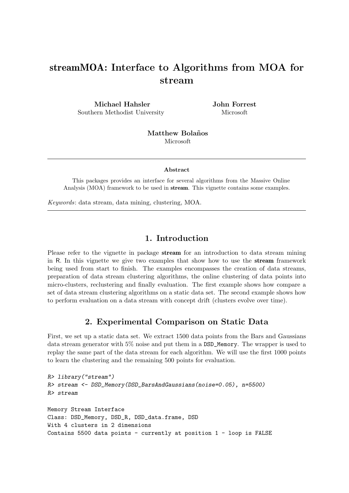# streamMOA: Interface to Algorithms from MOA for stream

Michael Hahsler Southern Methodist University John Forrest Microsoft

Matthew Bolaños Microsoft

Abstract

This packages provides an interface for several algorithms from the Massive Online Analysis (MOA) framework to be used in stream. This vignette contains some examples.

Keywords: data stream, data mining, clustering, MOA.

## 1. Introduction

Please refer to the vignette in package **stream** for an introduction to data stream mining in R. In this vignette we give two examples that show how to use the stream framework being used from start to finish. The examples encompasses the creation of data streams, preparation of data stream clustering algorithms, the online clustering of data points into micro-clusters, reclustering and finally evaluation. The first example shows how compare a set of data stream clustering algorithms on a static data set. The second example shows how to perform evaluation on a data stream with concept drift (clusters evolve over time).

## 2. Experimental Comparison on Static Data

First, we set up a static data set. We extract 1500 data points from the Bars and Gaussians data stream generator with 5% noise and put them in a DSD\_Memory. The wrapper is used to replay the same part of the data stream for each algorithm. We will use the first 1000 points to learn the clustering and the remaining 500 points for evaluation.

```
R> library("stream")
R> stream <- DSD_Memory(DSD_BarsAndGaussians(noise=0.05), n=5500)
R> stream
Memory Stream Interface
Class: DSD_Memory, DSD_R, DSD_data.frame, DSD
With 4 clusters in 2 dimensions
Contains 5500 data points - currently at position 1 - loop is FALSE
```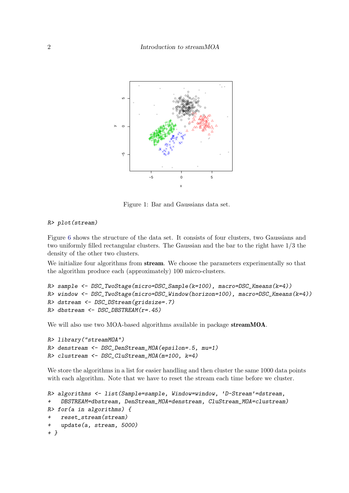

Figure 1: Bar and Gaussians data set.

#### R> plot(stream)

Figure [6](#page-10-0) shows the structure of the data set. It consists of four clusters, two Gaussians and two uniformly filled rectangular clusters. The Gaussian and the bar to the right have 1/3 the density of the other two clusters.

We initialize four algorithms from **stream**. We choose the parameters experimentally so that the algorithm produce each (approximately) 100 micro-clusters.

```
R> sample <- DSC_TwoStage(micro=DSC_Sample(k=100), macro=DSC_Kmeans(k=4))
R> window <- DSC_TwoStage(micro=DSC_Window(horizon=100), macro=DSC_Kmeans(k=4))
R> dstream <- DSC_DStream(gridsize=.7)
R> dbstream <- DSC_DBSTREAM(r=.45)
```
We will also use two MOA-based algorithms available in package streamMOA.

```
R> library("streamMOA")
R> denstream <- DSC_DenStream_MOA(epsilon=.5, mu=1)
R> clustream <- DSC_CluStream_MOA(m=100, k=4)
```
We store the algorithms in a list for easier handling and then cluster the same 1000 data points with each algorithm. Note that we have to reset the stream each time before we cluster.

```
R> algorithms <- list(Sample=sample, Window=window, 'D-Stream'=dstream,
+ DBSTREAM=dbstream, DenStream_MOA=denstream, CluStream_MOA=clustream)
R> for(a in algorithms) {
   + reset_stream(stream)
    update(a, stream, 5000)+ }
```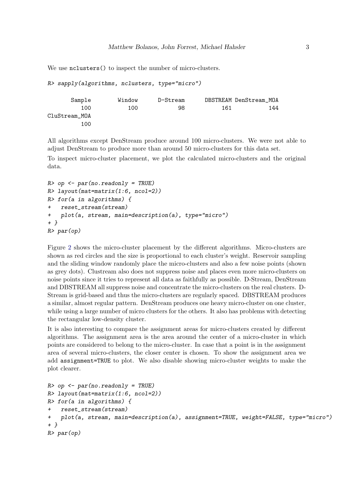We use  $nclusters()$  to inspect the number of micro-clusters.

R> sapply(algorithms, nclusters, type="micro")

```
Sample Window D-Stream DBSTREAM DenStream MOA
      100 100 98 161 144
CluStream_MOA
      100
```
All algorithms except DenStream produce around 100 micro-clusters. We were not able to adjust DenStream to produce more than around 50 micro-clusters for this data set.

To inspect micro-cluster placement, we plot the calculated micro-clusters and the original data.

```
R> op \leq par(no.readonly = TRUE)
R> layout(mat=matrix(1:6, ncol=2))
R> for(a in algorithms) {
+ reset_stream(stream)
+ plot(a, stream, main=description(a), type="micro")
+ }
R> par(op)
```
Figure [2](#page-3-0) shows the micro-cluster placement by the different algorithms. Micro-clusters are shown as red circles and the size is proportional to each cluster's weight. Reservoir sampling and the sliding window randomly place the micro-clusters and also a few noise points (shown as grey dots). Clustream also does not suppress noise and places even more micro-clusters on noise points since it tries to represent all data as faithfully as possible. D-Stream, DenStream and DBSTREAM all suppress noise and concentrate the micro-clusters on the real clusters. D-Stream is grid-based and thus the micro-clusters are regularly spaced. DBSTREAM produces a similar, almost regular pattern. DenStream produces one heavy micro-cluster on one cluster, while using a large number of micro clusters for the others. It also has problems with detecting the rectangular low-density cluster.

It is also interesting to compare the assignment areas for micro-clusters created by different algorithms. The assignment area is the area around the center of a micro-cluster in which points are considered to belong to the micro-cluster. In case that a point is in the assignment area of several micro-clusters, the closer center is chosen. To show the assignment area we add assignment=TRUE to plot. We also disable showing micro-cluster weights to make the plot clearer.

```
R> op \leq par(no.readonly = TRUE)
R> layout(mat=matrix(1:6, ncol=2))
R> for(a in algorithms) {
    + reset_stream(stream)
+ plot(a, stream, main=description(a), assignment=TRUE, weight=FALSE, type="micro")
+ }
R> par(op)
```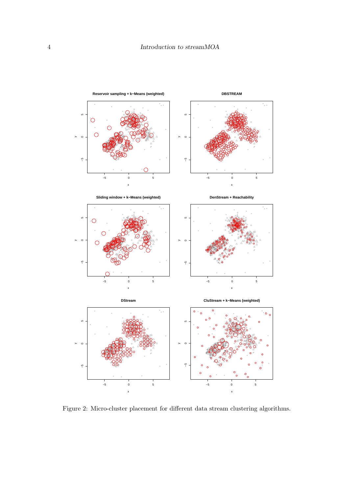

<span id="page-3-0"></span>Figure 2: Micro-cluster placement for different data stream clustering algorithms.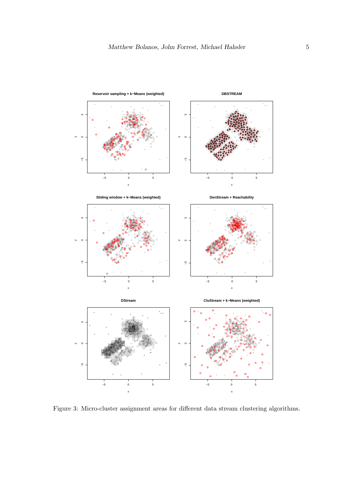

<span id="page-4-0"></span>Figure 3: Micro-cluster assignment areas for different data stream clustering algorithms.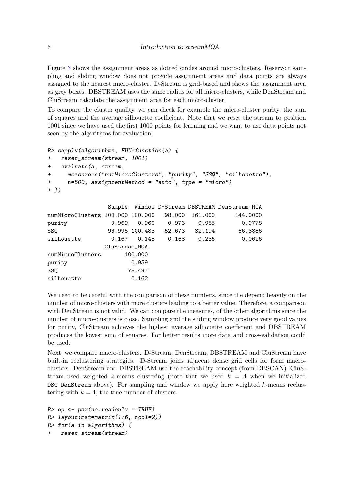Figure [3](#page-4-0) shows the assignment areas as dotted circles around micro-clusters. Reservoir sampling and sliding window does not provide assignment areas and data points are always assigned to the nearest micro-cluster. D-Stream is grid-based and shows the assignment area as grey boxes. DBSTREAM uses the same radius for all micro-clusters, while DenStream and CluStream calculate the assignment area for each micro-cluster.

To compare the cluster quality, we can check for example the micro-cluster purity, the sum of squares and the average silhouette coefficient. Note that we reset the stream to position 1001 since we have used the first 1000 points for learning and we want to use data points not seen by the algorithms for evaluation.

```
R> sapply(algorithms, FUN=function(a) {
```

```
+ reset_stream(stream, 1001)
+ evaluate(a, stream,
     measure=c("numMicroClusters", "purity", "SSQ", "silhouette"),
+ n=500, assignmentMethod = "auto", type = "micro")
+ })
```

|                                  |               |                |        |         | Sample Window D-Stream DBSTREAM DenStream_MOA |
|----------------------------------|---------------|----------------|--------|---------|-----------------------------------------------|
| numMicroClusters 100.000 100.000 |               |                | 98,000 | 161.000 | 144.0000                                      |
| purity                           | 0.969         | 0.960          | 0.973  | 0.985   | 0.9778                                        |
| SSQ                              |               | 96.995 100.483 | 52.673 | 32.194  | 66.3886                                       |
| silhouette                       | 0.167         | 0.148          | 0.168  | 0.236   | 0.0626                                        |
|                                  | CluStream_MOA |                |        |         |                                               |
| numMicroClusters                 |               | 100.000        |        |         |                                               |
| purity                           |               | 0.959          |        |         |                                               |
| SSQ                              |               | 78.497         |        |         |                                               |
| silhouette                       |               | 0.162          |        |         |                                               |

We need to be careful with the comparison of these numbers, since the depend heavily on the number of micro-clusters with more clusters leading to a better value. Therefore, a comparison with DenStream is not valid. We can compare the measures, of the other algorithms since the number of micro-clusters is close. Sampling and the sliding window produce very good values for purity, CluStream achieves the highest average silhouette coefficient and DBSTREAM produces the lowest sum of squares. For better results more data and cross-validation could be used.

Next, we compare macro-clusters. D-Stream, DenStream, DBSTREAM and CluStream have built-in reclustering strategies. D-Stream joins adjacent dense grid cells for form macroclusters. DenStream and DBSTREAM use the reachability concept (from DBSCAN). CluStream used weighted k-means clustering (note that we used  $k = 4$  when we initialized DSC\_DenStream above). For sampling and window we apply here weighted k-means reclustering with  $k = 4$ , the true number of clusters.

```
R> op \leq par(no.readonly = TRUE)
R> layout(mat=matrix(1:6, ncol=2))
R> for(a in algorithms) {
    + reset_stream(stream)
```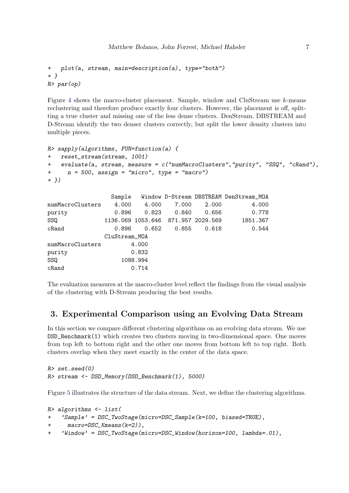```
+ plot(a, stream, main=description(a), type="both")
+ }
R> par(op)
```
Figure [4](#page-7-0) shows the macro-cluster placement. Sample, window and CluStream use k-means reclustering and therefore produce exactly four clusters. However, the placement is off, splitting a true cluster and missing one of the less dense clusters. DenStream, DBSTREAM and D-Stream identify the two denser clusters correctly, but split the lower density clusters into multiple pieces.

```
R> sapply(algorithms, FUN=function(a) {
+ reset_stream(stream, 1001)
+ evaluate(a, stream, measure = c("numMacroClusters","purity", "SSQ", "cRand"),
     n = 500, assign = "micro", type = "macro")
+ })
```

|                  | Sample        |          |                                    |       | Window D-Stream DBSTREAM DenStream_MOA |
|------------------|---------------|----------|------------------------------------|-------|----------------------------------------|
| numMacroClusters | 4.000         | 4.000    | 7.000                              | 2.000 | 4.000                                  |
| purity           | 0.896         | 0.823    | 0.840                              | 0.656 | 0.778                                  |
| SSQ              |               |          | 1136.069 1053.646 871.957 2029.569 |       | 1851.367                               |
| $c$ Rand         | 0.896         | 0.652    | 0.855                              | 0.618 | 0.544                                  |
|                  | CluStream_MOA |          |                                    |       |                                        |
| numMacroClusters |               | 4.000    |                                    |       |                                        |
| purity           |               | 0.832    |                                    |       |                                        |
| SSQ              |               | 1088.994 |                                    |       |                                        |
| $c$ Rand         |               | 0.714    |                                    |       |                                        |

The evaluation measures at the macro-cluster level reflect the findings from the visual analysis of the clustering with D-Stream producing the best results.

# 3. Experimental Comparison using an Evolving Data Stream

In this section we compare different clustering algorithms on an evolving data stream. We use DSD\_Benchmark(1) which creates two clusters moving in two-dimensional space. One moves from top left to bottom right and the other one moves from bottom left to top right. Both clusters overlap when they meet exactly in the center of the data space.

```
R> set.seed(0)
R> stream <- DSD_Memory(DSD_Benchmark(1), 5000)
```
Figure [5](#page-8-0) illustrates the structure of the data stream. Next, we define the clustering algorithms.

```
R> algorithms \leq list(
+ 'Sample' = DSC_TwoStage(micro=DSC_Sample(k=100, biased=TRUE),
+ macro=DSC_Kmeans(k=2)),
+ 'Window' = DSC_TwoStage(micro=DSC_Window(horizon=100, lambda=.01),
```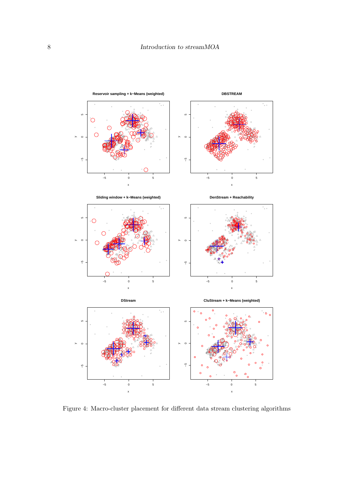

<span id="page-7-0"></span>Figure 4: Macro-cluster placement for different data stream clustering algorithms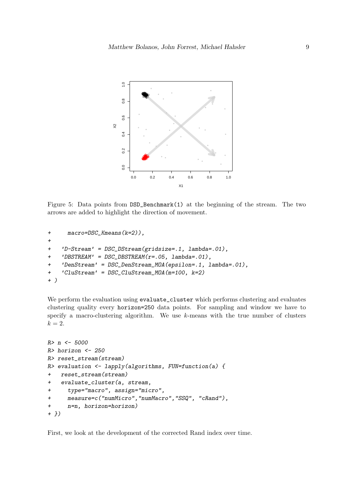

<span id="page-8-0"></span>Figure 5: Data points from  $\text{DSD\_Benchmark}(1)$  at the beginning of the stream. The two arrows are added to highlight the direction of movement.

```
+ macro=DSC_Kmeans(k=2)),
+
+ 'D-Stream' = DSC_DStream(gridsize=.1, lambda=.01),
+ 'DBSTREAM' = DSC_DBSTREAM(r=.05, lambda=.01),
+ 'DenStream' = DSC_DenStream_MOA(epsilon=.1, lambda=.01),
+ 'CluStream' = DSC_CluStream_MOA(m=100, k=2)
+ )
```
We perform the evaluation using evaluate\_cluster which performs clustering and evaluates clustering quality every horizon=250 data points. For sampling and window we have to specify a macro-clustering algorithm. We use k-means with the true number of clusters  $k = 2$ .

```
R> n <- 5000
R> horizon <- 250
R> reset_stream(stream)
R> evaluation \leq lapply(algorithms, FUN=function(a) {
+ reset_stream(stream)
+ evaluate_cluster(a, stream,
+ type="macro", assign="micro",
+ measure=c("numMicro","numMacro","SSQ", "cRand"),
+ n=n, horizon=horizon)
+ })
```
First, we look at the development of the corrected Rand index over time.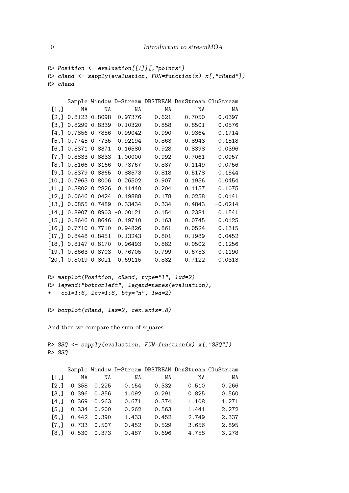```
R> Position <- evaluation[[1]][,"points"]
R> cRand <- sapply(evaluation, FUN=function(x) x[, "cRand"])
R> cRand
```

|                    |                       |               |                       |       | Sample Window D-Stream DBSTREAM DenStream CluStream |           |
|--------------------|-----------------------|---------------|-----------------------|-------|-----------------------------------------------------|-----------|
| $\left[1, \right]$ | NA                    | NA            | NA                    | NA    | ΝA                                                  | ΝA        |
| [2,]               |                       |               | 0.8123 0.8098 0.97376 | 0.621 | 0.7050                                              | 0.0397    |
| [3,]               |                       | 0.8299 0.8339 | 0.10320               | 0.858 | 0.8501                                              | 0.0576    |
| [4,]               |                       |               | 0.7856 0.7856 0.99042 | 0.990 | 0.9364                                              | 0.1714    |
| [5,]               |                       | 0.7745 0.7735 | 0.92194               | 0.863 | 0.8943                                              | 0.1518    |
|                    | [6,] 0.8371 0.8371    |               | 0.16580               | 0.928 | 0.8398                                              | 0.0396    |
| [7,]               |                       | 0.8833 0.8833 | 1.00000               | 0.992 | 0.7061                                              | 0.0957    |
| [8,]               |                       | 0.8166 0.8166 | 0.73767               | 0.887 | 0.1149                                              | 0.0756    |
|                    | $[9,]$ 0.8379 0.8365  |               | 0.88573               | 0.818 | 0.5178                                              | 0.1544    |
| $[10,$ $]$         |                       | 0.7963 0.8006 | 0.26502               | 0.907 | 0.1956                                              | 0.0454    |
|                    | [11,] 0.3802 0.2826   |               | 0.11440               | 0.204 | 0.1157                                              | 0.1075    |
| [12,]              |                       | 0.0646 0.0424 | 0.19888               | 0.178 | 0.0258                                              | 0.0141    |
| [13,]              |                       | 0.0855 0.7489 | 0.33434               | 0.334 | 0.4843                                              | $-0.0214$ |
| [14,]              |                       | 0.8907 0.8903 | $-0.00121$            | 0.154 | 0.2381                                              | 0.1541    |
| [15,]              |                       | 0.8646 0.8646 | 0.19710               | 0.163 | 0.0745                                              | 0.0125    |
|                    | [16,] 0.7710 0.7710   |               | 0.94826               | 0.861 | 0.0524                                              | 0.1315    |
| [17,]              |                       | 0.8448 0.8451 | 0.13243               | 0.801 | 0.1989                                              | 0.0452    |
|                    | $[18,]$ 0.8147 0.8170 |               | 0.96493               | 0.882 | 0.0502                                              | 0.1256    |
| [19,]              |                       | 0.8663 0.8703 | 0.76705               | 0.799 | 0.6753                                              | 0.1190    |
|                    | [20,] 0.8019 0.8021   |               | 0.69115               | 0.882 | 0.7122                                              | 0.0313    |

```
R> matplot(Position, cRand, type="l", lwd=2)
R> legend("bottomleft", legend=names(evaluation),
+ col=1:6, lty=1:6, bty="n", lwd=2)
```

```
R> boxplot(cRand, las=2, cex.axis=.8)
```
And then we compare the sum of squares.

 $R$ > SSQ <- sapply(evaluation, FUN=function(x) x[, "SSQ"]) R> SSQ

|      |       |       |       |       | Sample Window D-Stream DBSTREAM DenStream CluStream |       |
|------|-------|-------|-------|-------|-----------------------------------------------------|-------|
| [1,] | NA    | ΝA    | NA    | NA    | NA                                                  | NA    |
| [2,] | 0.358 | 0.225 | 0.154 | 0.332 | 0.510                                               | 0.266 |
| [3,] | 0.396 | 0.356 | 1.092 | 0.291 | 0.825                                               | 0.560 |
| [4,] | 0.369 | 0.263 | 0.671 | 0.374 | 1.108                                               | 1.271 |
| [5,] | 0.334 | 0.200 | 0.262 | 0.563 | 1.441                                               | 2.272 |
| [6,  | 0.442 | 0.390 | 1.433 | 0.452 | 2.749                                               | 2.337 |
| [7,] | 0.733 | 0.507 | 0.452 | 0.529 | 3.656                                               | 2.895 |
| [8.] | 0.530 | 0.373 | 0.487 | 0.696 | 4.758                                               | 3.278 |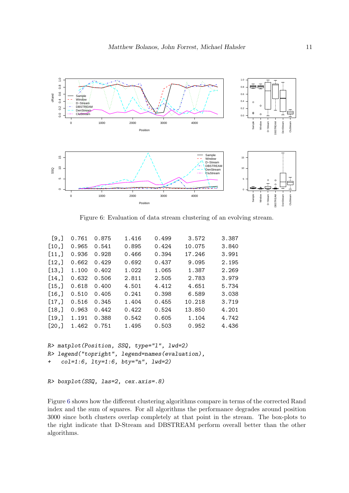

<span id="page-10-0"></span>Figure 6: Evaluation of data stream clustering of an evolving stream.

| [9,   | 0.761 | 0.875 | 1.416 | 0.499 | 3.572  | 3.387 |
|-------|-------|-------|-------|-------|--------|-------|
| [10,] | 0.965 | 0.541 | 0.895 | 0.424 | 10.075 | 3.840 |
| [11,] | 0.936 | 0.928 | 0.466 | 0.394 | 17.246 | 3.991 |
| [12,] | 0.662 | 0.429 | 0.692 | 0.437 | 9.095  | 2.195 |
| [13,] | 1.100 | 0.402 | 1.022 | 1.065 | 1.387  | 2.269 |
| [14,] | 0.632 | 0.506 | 2.811 | 2.505 | 2.783  | 3.979 |
| [15,] | 0.618 | 0.400 | 4.501 | 4.412 | 4.651  | 5.734 |
| [16,] | 0.510 | 0.405 | 0.241 | 0.398 | 6.589  | 3.038 |
| [17,] | 0.516 | 0.345 | 1.404 | 0.455 | 10.218 | 3.719 |
| [18,] | 0.963 | 0.442 | 0.422 | 0.524 | 13.850 | 4.201 |
| [19,] | 1.191 | 0.388 | 0.542 | 0.605 | 1.104  | 4.742 |
| [20,] | 1.462 | 0.751 | 1.495 | 0.503 | 0.952  | 4.436 |
|       |       |       |       |       |        |       |

```
R> matplot(Position, SSQ, type="l", lwd=2)
R> legend("topright", legend=names(evaluation),
+ col=1:6, lty=1:6, bty="n", lwd=2)
```

```
R> boxplot(SSQ, las=2, cex.axis=.8)
```
Figure [6](#page-10-0) shows how the different clustering algorithms compare in terms of the corrected Rand index and the sum of squares. For all algorithms the performance degrades around position 3000 since both clusters overlap completely at that point in the stream. The box-plots to the right indicate that D-Stream and DBSTREAM perform overall better than the other algorithms.